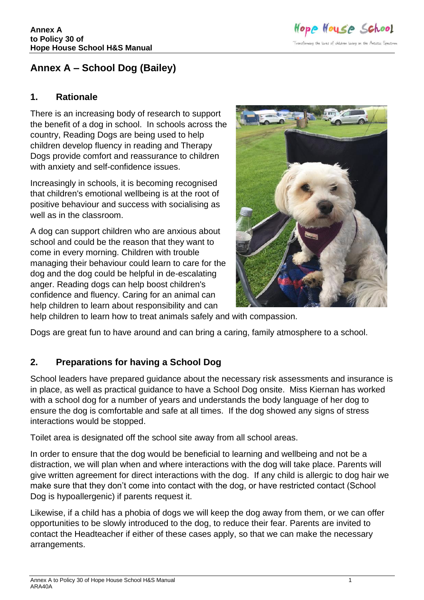Hope House School Transforming the lives of children living on the Autistic Spectrum

# **Annex A – School Dog (Bailey)**

#### **1. Rationale**

There is an increasing body of research to support the benefit of a dog in school. In schools across the country, Reading Dogs are being used to help children develop fluency in reading and Therapy Dogs provide comfort and reassurance to children with anxiety and self-confidence issues.

Increasingly in schools, it is becoming recognised that children's emotional wellbeing is at the root of positive behaviour and success with socialising as well as in the classroom.

A dog can support children who are anxious about school and could be the reason that they want to come in every morning. Children with trouble managing their behaviour could learn to care for the dog and the dog could be helpful in de-escalating anger. Reading dogs can help boost children's confidence and fluency. Caring for an animal can help children to learn about responsibility and can



help children to learn how to treat animals safely and with compassion.

Dogs are great fun to have around and can bring a caring, family atmosphere to a school.

## **2. Preparations for having a School Dog**

School leaders have prepared guidance about the necessary risk assessments and insurance is in place, as well as practical guidance to have a School Dog onsite. Miss Kiernan has worked with a school dog for a number of years and understands the body language of her dog to ensure the dog is comfortable and safe at all times. If the dog showed any signs of stress interactions would be stopped.

Toilet area is designated off the school site away from all school areas.

In order to ensure that the dog would be beneficial to learning and wellbeing and not be a distraction, we will plan when and where interactions with the dog will take place. Parents will give written agreement for direct interactions with the dog. If any child is allergic to dog hair we make sure that they don't come into contact with the dog, or have restricted contact (School Dog is hypoallergenic) if parents request it.

Likewise, if a child has a phobia of dogs we will keep the dog away from them, or we can offer opportunities to be slowly introduced to the dog, to reduce their fear. Parents are invited to contact the Headteacher if either of these cases apply, so that we can make the necessary arrangements.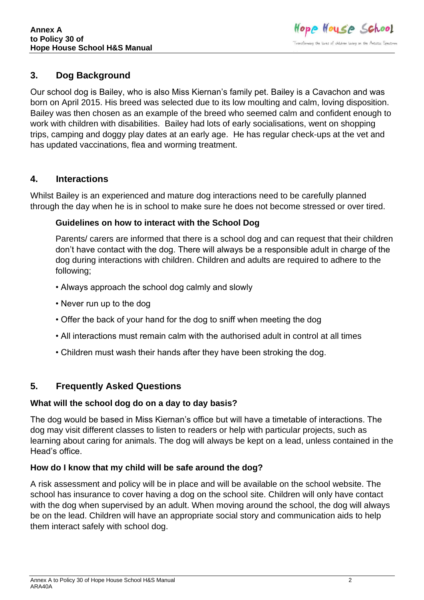## **3. Dog Background**

Our school dog is Bailey, who is also Miss Kiernan's family pet. Bailey is a Cavachon and was born on April 2015. His breed was selected due to its low moulting and calm, loving disposition. Bailey was then chosen as an example of the breed who seemed calm and confident enough to work with children with disabilities. Bailey had lots of early socialisations, went on shopping trips, camping and doggy play dates at an early age. He has regular check-ups at the vet and has updated vaccinations, flea and worming treatment.

## **4. Interactions**

Whilst Bailey is an experienced and mature dog interactions need to be carefully planned through the day when he is in school to make sure he does not become stressed or over tired.

### **Guidelines on how to interact with the School Dog**

Parents/ carers are informed that there is a school dog and can request that their children don't have contact with the dog. There will always be a responsible adult in charge of the dog during interactions with children. Children and adults are required to adhere to the following;

- Always approach the school dog calmly and slowly
- Never run up to the dog
- Offer the back of your hand for the dog to sniff when meeting the dog
- All interactions must remain calm with the authorised adult in control at all times
- Children must wash their hands after they have been stroking the dog.

## **5. Frequently Asked Questions**

## **What will the school dog do on a day to day basis?**

The dog would be based in Miss Kiernan's office but will have a timetable of interactions. The dog may visit different classes to listen to readers or help with particular projects, such as learning about caring for animals. The dog will always be kept on a lead, unless contained in the Head's office.

## **How do I know that my child will be safe around the dog?**

A risk assessment and policy will be in place and will be available on the school website. The school has insurance to cover having a dog on the school site. Children will only have contact with the dog when supervised by an adult. When moving around the school, the dog will always be on the lead. Children will have an appropriate social story and communication aids to help them interact safely with school dog.